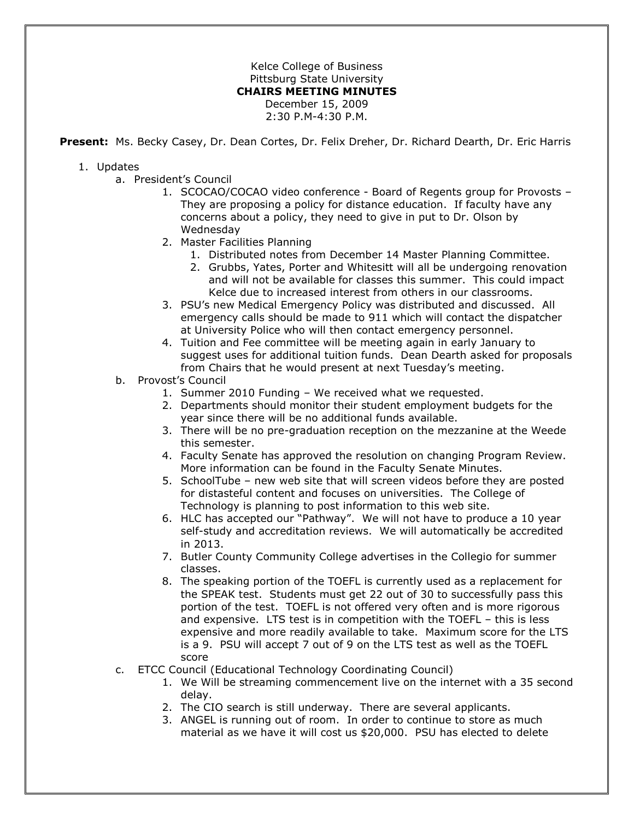## Kelce College of Business Pittsburg State University **CHAIRS MEETING MINUTES** December 15, 2009 2:30 P.M-4:30 P.M.

**Present:** Ms. Becky Casey, Dr. Dean Cortes, Dr. Felix Dreher, Dr. Richard Dearth, Dr. Eric Harris

## 1. Updates

- a. President's Council
	- 1. SCOCAO/COCAO video conference Board of Regents group for Provosts They are proposing a policy for distance education. If faculty have any concerns about a policy, they need to give in put to Dr. Olson by Wednesday
	- 2. Master Facilities Planning
		- 1. Distributed notes from December 14 Master Planning Committee.
		- 2. Grubbs, Yates, Porter and Whitesitt will all be undergoing renovation and will not be available for classes this summer. This could impact Kelce due to increased interest from others in our classrooms.
	- 3. PSU's new Medical Emergency Policy was distributed and discussed. All emergency calls should be made to 911 which will contact the dispatcher at University Police who will then contact emergency personnel.
	- 4. Tuition and Fee committee will be meeting again in early January to suggest uses for additional tuition funds. Dean Dearth asked for proposals from Chairs that he would present at next Tuesday's meeting.
- b. Provost's Council
	- 1. Summer 2010 Funding We received what we requested.
	- 2. Departments should monitor their student employment budgets for the year since there will be no additional funds available.
	- 3. There will be no pre-graduation reception on the mezzanine at the Weede this semester.
	- 4. Faculty Senate has approved the resolution on changing Program Review. More information can be found in the Faculty Senate Minutes.
	- 5. SchoolTube new web site that will screen videos before they are posted for distasteful content and focuses on universities. The College of Technology is planning to post information to this web site.
	- 6. HLC has accepted our "Pathway". We will not have to produce a 10 year self-study and accreditation reviews. We will automatically be accredited in 2013.
	- 7. Butler County Community College advertises in the Collegio for summer classes.
	- 8. The speaking portion of the TOEFL is currently used as a replacement for the SPEAK test. Students must get 22 out of 30 to successfully pass this portion of the test. TOEFL is not offered very often and is more rigorous and expensive. LTS test is in competition with the TOEFL – this is less expensive and more readily available to take. Maximum score for the LTS is a 9. PSU will accept 7 out of 9 on the LTS test as well as the TOEFL score
- c. ETCC Council (Educational Technology Coordinating Council)
	- 1. We Will be streaming commencement live on the internet with a 35 second delay.
	- 2. The CIO search is still underway. There are several applicants.
	- 3. ANGEL is running out of room. In order to continue to store as much material as we have it will cost us \$20,000. PSU has elected to delete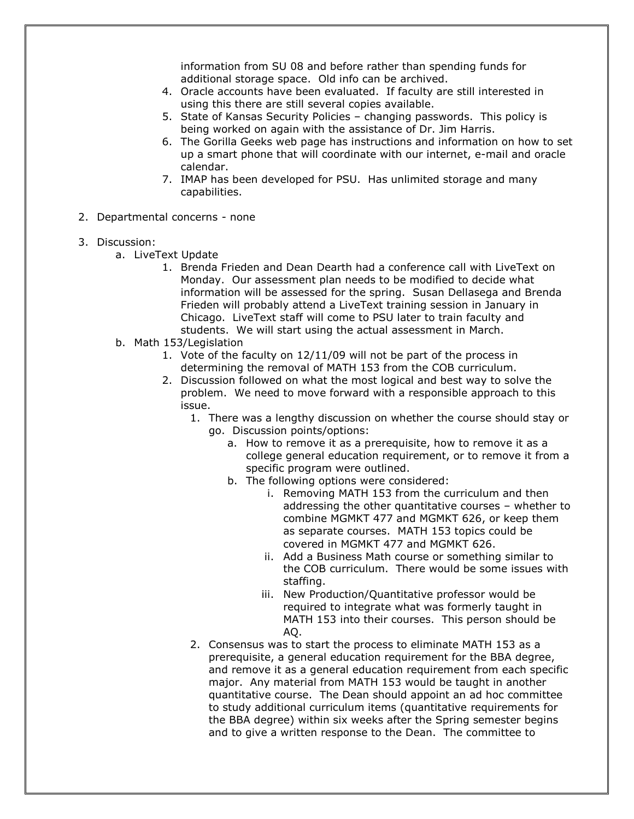information from SU 08 and before rather than spending funds for additional storage space. Old info can be archived.

- 4. Oracle accounts have been evaluated. If faculty are still interested in using this there are still several copies available.
- 5. State of Kansas Security Policies changing passwords. This policy is being worked on again with the assistance of Dr. Jim Harris.
- 6. The Gorilla Geeks web page has instructions and information on how to set up a smart phone that will coordinate with our internet, e-mail and oracle calendar.
- 7. IMAP has been developed for PSU. Has unlimited storage and many capabilities.
- 2. Departmental concerns none
- 3. Discussion:
	- a. LiveText Update
		- 1. Brenda Frieden and Dean Dearth had a conference call with LiveText on Monday. Our assessment plan needs to be modified to decide what information will be assessed for the spring. Susan Dellasega and Brenda Frieden will probably attend a LiveText training session in January in Chicago. LiveText staff will come to PSU later to train faculty and students. We will start using the actual assessment in March.
	- b. Math 153/Legislation
		- 1. Vote of the faculty on 12/11/09 will not be part of the process in determining the removal of MATH 153 from the COB curriculum.
		- 2. Discussion followed on what the most logical and best way to solve the problem. We need to move forward with a responsible approach to this issue.
			- 1. There was a lengthy discussion on whether the course should stay or go. Discussion points/options:
				- a. How to remove it as a prerequisite, how to remove it as a college general education requirement, or to remove it from a specific program were outlined.
				- b. The following options were considered:
					- i. Removing MATH 153 from the curriculum and then addressing the other quantitative courses – whether to combine MGMKT 477 and MGMKT 626, or keep them as separate courses. MATH 153 topics could be covered in MGMKT 477 and MGMKT 626.
					- ii. Add a Business Math course or something similar to the COB curriculum. There would be some issues with staffing.
					- iii. New Production/Quantitative professor would be required to integrate what was formerly taught in MATH 153 into their courses. This person should be AQ.
			- 2. Consensus was to start the process to eliminate MATH 153 as a prerequisite, a general education requirement for the BBA degree, and remove it as a general education requirement from each specific major. Any material from MATH 153 would be taught in another quantitative course. The Dean should appoint an ad hoc committee to study additional curriculum items (quantitative requirements for the BBA degree) within six weeks after the Spring semester begins and to give a written response to the Dean. The committee to